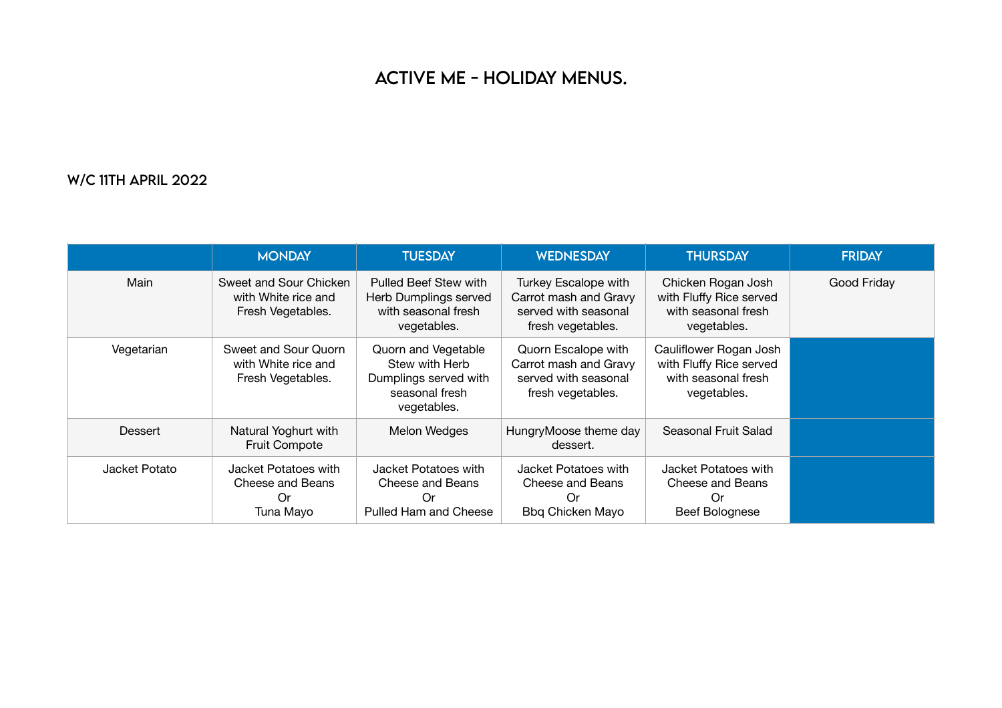## ACTiVE ME - HOLiDAY MENUS.

## W/C 11TH APRiL 2022

|               | <b>MONDAY</b>                                                      | <b>TUESDAY</b>                                                                                  | <b>WEDNESDAY</b>                                                                           | <b>THURSDAY</b>                                                                         | <b>FRIDAY</b> |
|---------------|--------------------------------------------------------------------|-------------------------------------------------------------------------------------------------|--------------------------------------------------------------------------------------------|-----------------------------------------------------------------------------------------|---------------|
| Main          | Sweet and Sour Chicken<br>with White rice and<br>Fresh Vegetables. | Pulled Beef Stew with<br>Herb Dumplings served<br>with seasonal fresh<br>vegetables.            | Turkey Escalope with<br>Carrot mash and Gravy<br>served with seasonal<br>fresh vegetables. | Chicken Rogan Josh<br>with Fluffy Rice served<br>with seasonal fresh<br>vegetables.     | Good Friday   |
| Vegetarian    | Sweet and Sour Quorn<br>with White rice and<br>Fresh Vegetables.   | Quorn and Vegetable<br>Stew with Herb<br>Dumplings served with<br>seasonal fresh<br>vegetables. | Quorn Escalope with<br>Carrot mash and Gravy<br>served with seasonal<br>fresh vegetables.  | Cauliflower Rogan Josh<br>with Fluffy Rice served<br>with seasonal fresh<br>vegetables. |               |
| Dessert       | Natural Yoghurt with<br><b>Fruit Compote</b>                       | Melon Wedges                                                                                    | HungryMoose theme day<br>dessert.                                                          | Seasonal Fruit Salad                                                                    |               |
| Jacket Potato | Jacket Potatoes with<br>Cheese and Beans<br>Or<br>Tuna Mayo        | Jacket Potatoes with<br>Cheese and Beans<br>Or<br>Pulled Ham and Cheese                         | Jacket Potatoes with<br>Cheese and Beans<br>Or<br>Bbq Chicken Mayo                         | Jacket Potatoes with<br>Cheese and Beans<br>Or<br><b>Beef Bolognese</b>                 |               |